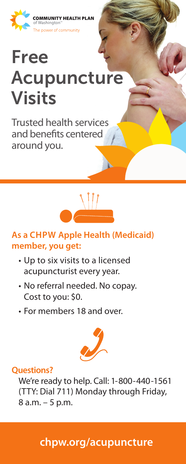

# Free Acupuncture Visits

Trusted health services and benefits centered around you.



### **As a CHPW Apple Health (Medicaid) member, you get:**

- Up to six visits to a licensed acupuncturist every year.
- No referral needed. No copay. Cost to you: \$0.
- For members 18 and over.



### **Questions?**

We're ready to help. Call: 1-800-440-1561 (TTY: Dial 711) Monday through Friday, 8 a.m. – 5 p.m.

### **chpw.org/acupuncture**